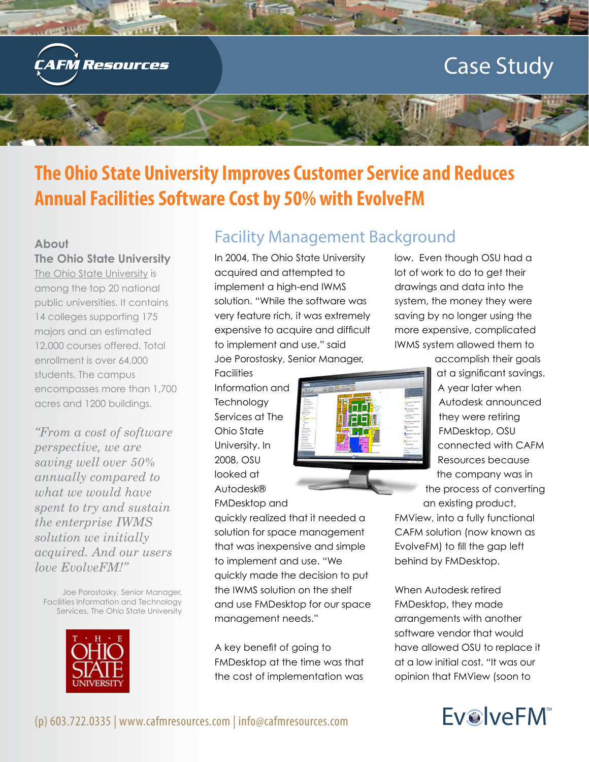

# **The Ohio State University Improves Customer Service and Reduces Annual Facilities Software Cost by 50% with EvolveFM**

#### **About**

**The Ohio State University**

[The Ohio State University](http://www.osu.edu/visitors/aboutohiostate.php) is among the top 20 national public universities. It contains 14 colleges supporting 175 majors and an estimated 12,000 courses offered. Total enrollment is over 64,000 students. The campus encompasses more than 1,700 acres and 1200 buildings.

*"From a cost of software perspective, we are saving well over 50% annually compared to what we would have spent to try and sustain the enterprise IWMS solution we initially acquired. And our users love EvolveFM!"*

Joe Porostosky, Senior Manager, Facilities Information and Technology Services, The Ohio State University



### Facility Management Background

In 2004, The Ohio State University acquired and attempted to implement a high-end IWMS solution. "While the software was very feature rich, it was extremely expensive to acquire and difficult to implement and use," said Joe Porostosky, Senior Manager,

quickly realized that it needed a solution for space management that was inexpensive and simple to implement and use. "We

quickly made the decision to put the IWMS solution on the shelf and use FMDesktop for our space

management needs."

A key benefit of going to

FMDesktop at the time was that the cost of implementation was

Facilities Information and **Technology** Services at The Ohio State University. In 2008, OSU looked at Autodesk® FMDesktop and



low. Even though OSU had a lot of work to do to get their drawings and data into the system, the money they were saving by no longer using the more expensive, complicated IWMS system allowed them to

accomplish their goals at a significant savings. A year later when Autodesk announced they were retiring FMDesktop, OSU connected with CAFM Resources because the company was in the process of converting

an existing product,

FMView, into a fully functional CAFM solution (now known as EvolveFM) to fill the gap left behind by FMDesktop.

When Autodesk retired FMDesktop, they made arrangements with another software vendor that would have allowed OSU to replace it at a low initial cost. "It was our opinion that FMView (soon to

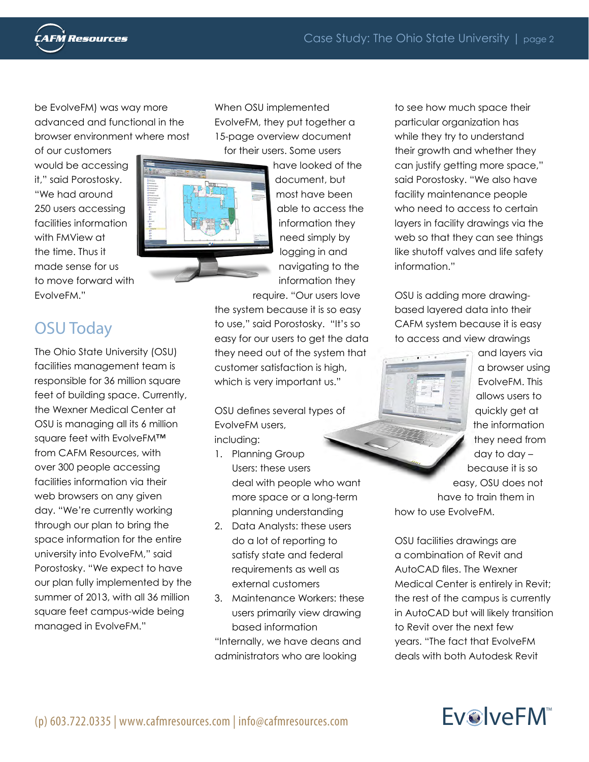

be EvolveFM) was way more advanced and functional in the browser environment where most

of our customers would be accessing it," said Porostosky. "We had around 250 users accessing facilities information with FMView at the time. Thus it made sense for us to move forward with EvolveFM."

# OSU Today

The Ohio State University (OSU) facilities management team is responsible for 36 million square feet of building space. Currently, the Wexner Medical Center at OSU is managing all its 6 million square feet with EvolveFM™ from CAFM Resources, with over 300 people accessing facilities information via their web browsers on any given day. "We're currently working through our plan to bring the space information for the entire university into EvolveFM," said Porostosky. "We expect to have our plan fully implemented by the summer of 2013, with all 36 million square feet campus-wide being managed in EvolveFM."

When OSU implemented EvolveFM, they put together a 15-page overview document for their users. Some users



have looked of the document, but most have been able to access the information they need simply by logging in and navigating to the information they

require. "Our users love the system because it is so easy to use," said Porostosky. "It's so easy for our users to get the data they need out of the system that customer satisfaction is high, which is very important us."

OSU defines several types of EvolveFM users, including:

- 1. Planning Group Users: these users deal with people who want more space or a long-term planning understanding
- 2. Data Analysts: these users do a lot of reporting to satisfy state and federal requirements as well as external customers
- 3. Maintenance Workers: these users primarily view drawing based information "Internally, we have deans and administrators who are looking

to see how much space their particular organization has while they try to understand their growth and whether they can justify getting more space," said Porostosky. "We also have facility maintenance people who need to access to certain layers in facility drawings via the web so that they can see things like shutoff valves and life safety information."

OSU is adding more drawingbased layered data into their CAFM system because it is easy to access and view drawings



and layers via a browser using EvolveFM. This allows users to quickly get at the information they need from day to day – because it is so easy, OSU does not have to train them in how to use EvolveFM.

OSU facilities drawings are a combination of Revit and AutoCAD files. The Wexner Medical Center is entirely in Revit; the rest of the campus is currently in AutoCAD but will likely transition to Revit over the next few years. "The fact that EvolveFM deals with both Autodesk Revit